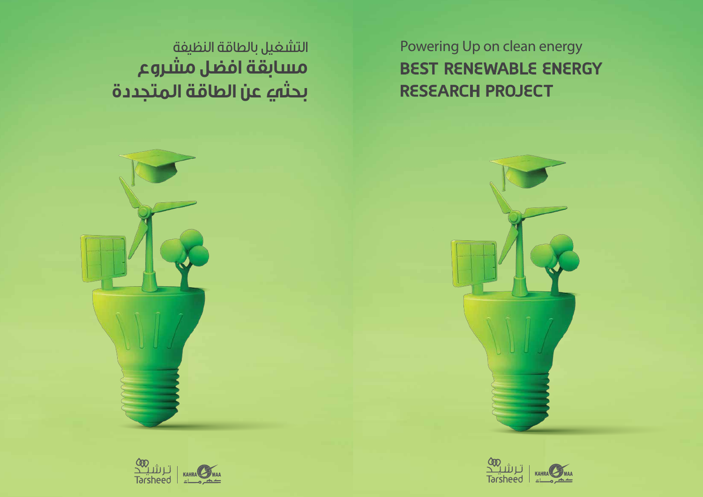Powering Up on clean energy **BEST RENEWABLE ENERGY RESEARCH PROJECT**

التشغيل بالطاقة النظيفة **مسابقة افضل مشروع بحثي عن الطاقة المتجددة**